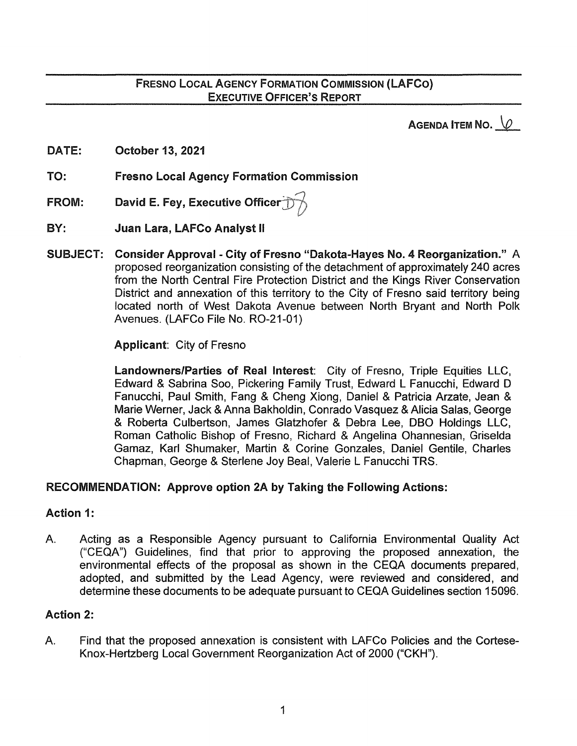AGENDA ITEM NO.  $\sqrt{2}$ 

DATE: October 13, 2021

TO: Fresno Local Agency Formation Commission

- FROM: David E. Fey, Executive Officer<sup>-</sup>
- BY: Juan Lara, LAFCo Analyst II
- SUBJECT: Consider Approval City of Fresno "Dakota-Hayes No. 4 Reorganization." A proposed reorganization consisting of the detachment of approximately 240 acres from the North Central Fire Protection District and the Kings River Conservation District and annexation of this territory to the City of Fresno said territory being located north of West Dakota Avenue between North Bryant and North Polk Avenues. (LAFCo File No. R0-21-01)

Applicant: City of Fresno

Landowners/Parties of Real Interest: City of Fresno, Triple Equities LLC, Edward & Sabrina Soo, Pickering Family Trust, Edward L Fanucchi, Edward D Fanucchi, Paul Smith, Fang & Cheng Xiong, Daniel & Patricia Arzate, Jean & Marie Werner, Jack & Anna Bakholdin, Conrado Vasquez & Alicia Salas, George & Roberta Culbertson, James Glatzhofer & Debra Lee, DBO Holdings LLC, Roman Catholic Bishop of Fresno, Richard & Angelina Ohannesian, Griselda Gamaz, Karl Shumaker, Martin & Corine Gonzales, Daniel Gentile, Charles Chapman, George & Starlene Joy Beal, Valerie L Fanucchi TRS.

#### RECOMMENDATION: Approve option 2A by Taking the Following Actions:

#### Action 1:

A. Acting as a Responsible Agency pursuant to California Environmental Quality Act ("CEQA") Guidelines, find that prior to approving the proposed annexation, the environmental effects of the proposal as shown in the CEQA documents prepared, adopted, and submitted by the Lead Agency, were reviewed and considered, and determine these documents to be adequate pursuant to CEQA Guidelines section 15096.

#### Action 2:

A. Find that the proposed annexation is consistent with LAFCo Policies and the Cortese-Knox-Hertzberg Local Government Reorganization Act of 2000 ("CKH").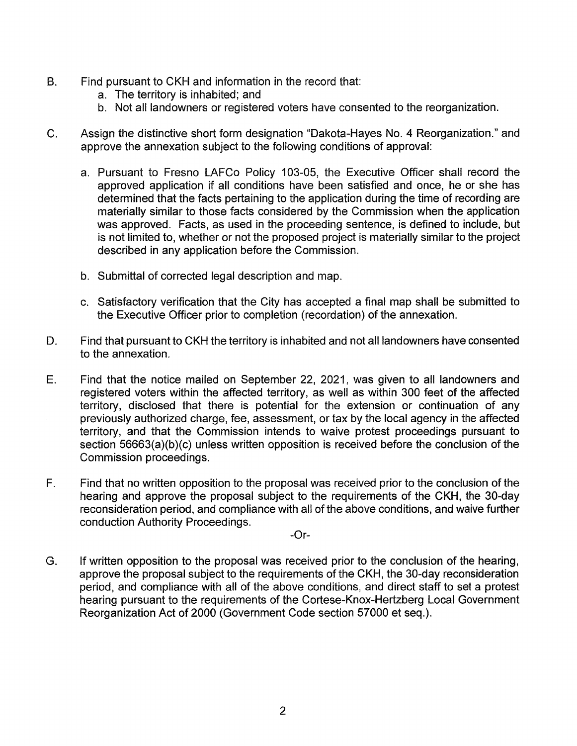- B. Find pursuant to CKH and information in the record that:
	- a. The territory is inhabited; and
	- b. Not all landowners or registered voters have consented to the reorganization.
- C. Assign the distinctive short form designation "Dakota-Hayes No. 4 Reorganization." and approve the annexation subject to the following conditions of approval:
	- a. Pursuant to Fresno LAFCo Policy 103-05, the Executive Officer shall record the approved application if all conditions have been satisfied and once, he or she has determined that the facts pertaining to the application during the time of recording are materially similar to those facts considered by the Commission when the application was approved. Facts, as used in the proceeding sentence, is defined to include, but is not limited to, whether or not the proposed project is materially similar to the project described in any application before the Commission.
	- b. Submittal of corrected legal description and map.
	- c. Satisfactory verification that the City has accepted a final map shall be submitted to the Executive Officer prior to completion (recordation) of the annexation.
- D. Find that pursuant to CKH the territory is inhabited and not all landowners have consented to the annexation.
- E. Find that the notice mailed on September 22, 2021, was given to all landowners and registered voters within the affected territory, as well as within 300 feet of the affected territory, disclosed that there is potential for the extension or continuation of any previously authorized charge, fee, assessment, or tax by the local agency in the affected territory, and that the Commission intends to waive protest proceedings pursuant to section 56663(a)(b)(c) unless written opposition is received before the conclusion of the Commission proceedings.
- F. Find that no written opposition to the proposal was received prior to the conclusion of the hearing and approve the proposal subject to the requirements of the CKH, the 30-day reconsideration period, and compliance with all of the above conditions, and waive further conduction Authority Proceedings.
	- -Or-
- G. If written opposition to the proposal was received prior to the conclusion of the hearing, approve the proposal subject to the requirements of the CKH, the 30-day reconsideration period, and compliance with all of the above conditions, and direct staff to set a protest hearing pursuant to the requirements of the Cortese-Knox-Hertzberg Local Government Reorganization Act of 2000 (Government Code section 57000 et seq.).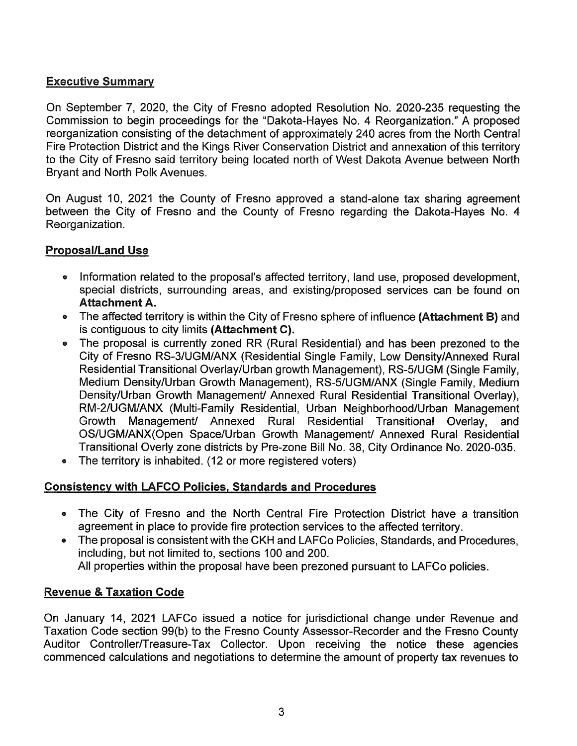# Executive Summary

On September 7, 2020, the City of Fresno adopted Resolution No. 2020-235 requesting the Commission to begin proceedings for the "Dakota-Hayes No. 4 Reorganization." A proposed reorganization consisting of the detachment of approximately 240 acres from the North Central Fire Protection District and the Kings River Conservation District and annexation of this territory to the City of Fresno said territory being located north of West Dakota Avenue between North Bryant and North Polk Avenues.

On August 10, 2021 the County of Fresno approved a stand-alone tax sharing agreement between the City of Fresno and the County of Fresno regarding the Dakota-Hayes No. 4 Reorganization.

## Proposal/Land Use

- Information related to the proposal's affected territory, land use, proposed development, special districts, surrounding areas, and existing/proposed services can be found on Attachment A.
- The affected territory is within the City of Fresno sphere of influence (Attachment B) and is contiguous to city limits (Attachment C).
- The proposal is currently zoned RR (Rural Residential) and has been prezoned to the City of Fresno RS-3/UGM/ANX {Residential Single Family, Low Density/Annexed Rural Residential Transitional Overlay/Urban growth Management), RS-5/UGM (Single Family, Medium Density/Urban Growth Management), RS-5/UGM/ANX (Single Family, Medium Density/Urban Growth Management/ Annexed Rural Residential Transitional Overlay), RM-2/UGM/ANX (Multi-Family Residential, Urban Neighborhood/Urban Management Growth Management/ Annexed Rural Residential Transitional Overlay, and OS/UGM/ANX(Open Space/Urban Growth Management/ Annexed Rural Residential Transitional Overly zone districts by Pre-zone Bill No. 38, City Ordinance No. 2020-035.
- The territory is inhabited. (12 or more registered voters)

## Consistency with LAFCO Policies, Standards and Procedures

- The City of Fresno and the North Central Fire Protection District have a transition agreement in place to provide fire protection services to the affected territory.
- The proposal is consistent with the CKH and LAFCo Policies, Standards, and Procedures, including, but not limited to, sections 100 and 200. All properties within the proposal have been prezoned pursuant to LAFCo policies.

#### Revenue & Taxation Code

On January 14, 2021 LAFCo issued a notice for jurisdictional change under Revenue and Taxation Code section 99(b) to the Fresno County Assessor-Recorder and the Fresno County Auditor Controller/Treasure-Tax Collector. Upon receiving the notice these agencies commenced calculations and negotiations to determine the amount of property tax revenues to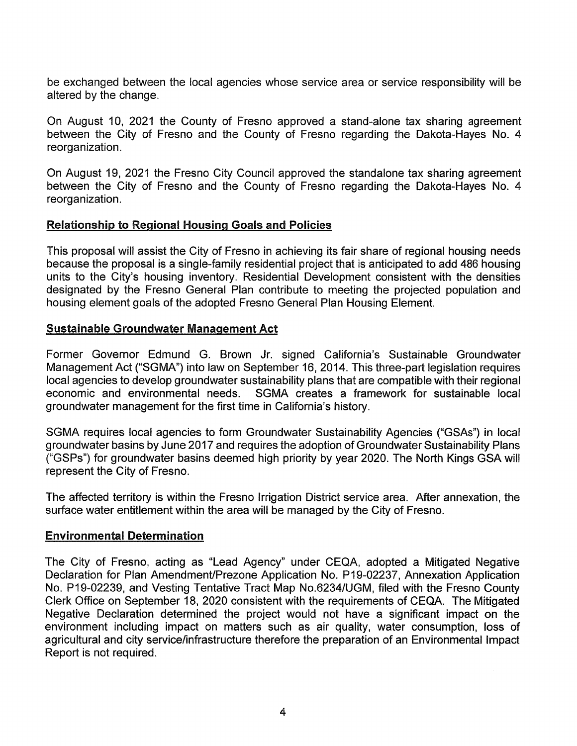be exchanged between the local agencies whose service area or service responsibility will be altered by the change.

On August 10, 2021 the County of Fresno approved a stand-alone tax sharing agreement between the City of Fresno and the County of Fresno regarding the Dakota-Hayes No. 4 reorganization.

On August 19, 2021 the Fresno City Council approved the standalone tax sharing agreement between the City of Fresno and the County of Fresno regarding the Dakota-Hayes No. 4 reorganization.

#### Relationship to Regional Housing Goals and Policies

This proposal will assist the City of Fresno in achieving its fair share of regional housing needs because the proposal is a single-family residential project that is anticipated to add 486 housing units to the City's housing inventory. Residential Development consistent with the densities designated by the Fresno General Plan contribute to meeting the projected population and housing element goals of the adopted Fresno General Plan Housing Element.

#### Sustainable Groundwater Management Act

Former Governor Edmund G. Brown Jr. signed California's Sustainable Groundwater Management Act ("SGMA") into law on September 16, 2014. This three-part legislation requires local agencies to develop groundwater sustainability plans that are compatible with their regional economic and environmental needs. SGMA creates a framework for sustainable local groundwater management for the first time in California's history.

SGMA requires local agencies to form Groundwater Sustainability Agencies ("GSAs") in local groundwater basins by June 2017 and requires the adoption of Groundwater Sustainability Plans ("GSPs") for groundwater basins deemed high priority by year 2020. The North Kings GSA will represent the City of Fresno.

The affected territory is within the Fresno Irrigation District service area. After annexation, the surface water entitlement within the area will be managed by the City of Fresno.

#### Environmental Determination

The City of Fresno, acting as "Lead Agency" under CEQA, adopted a Mitigated Negative Declaration for Plan Amendment/Prezone Application No. P19-02237, Annexation Application No. P19-02239, and Vesting Tentative Tract Map No.6234/UGM, filed with the Fresno County Clerk Office on September 18, 2020 consistent with the requirements of CEQA. The Mitigated Negative Declaration determined the project would not have a significant impact on the environment including impact on matters such as air quality, water consumption, loss of agricultural and city service/infrastructure therefore the preparation of an Environmental Impact Report is not required.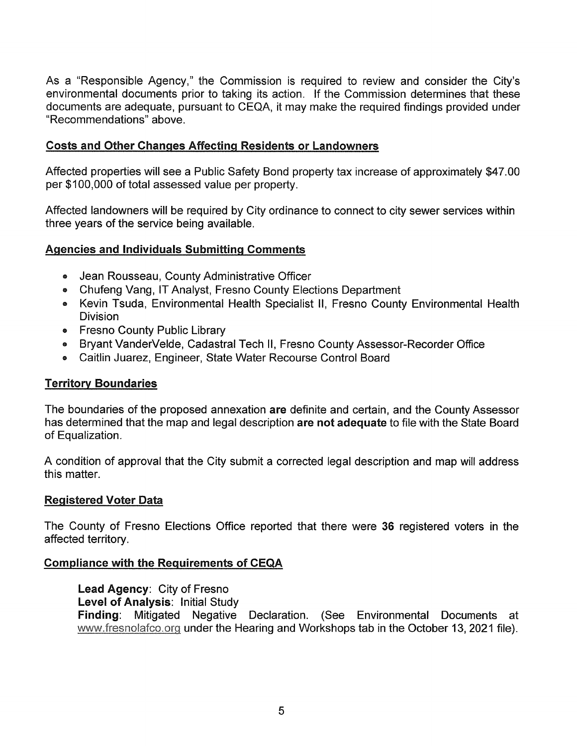As a "Responsible Agency," the Commission is required to review and consider the City's environmental documents prior to taking its action. If the Commission determines that these documents are adequate, pursuant to CEQA, it may make the required findings provided under "Recommendations" above.

### Costs and Other Changes Affecting Residents or Landowners

Affected properties will see a Public Safety Bond property tax increase of approximately \$47.00 per \$100,000 of total assessed value per property.

Affected landowners will be required by City ordinance to connect to city sewer services within three years of the service being available.

#### Agencies and Individuals Submitting Comments

- Jean Rousseau, County Administrative Officer
- Chufeng Vang, IT Analyst, Fresno County Elections Department
- Kevin Tsuda, Environmental Health Specialist II, Fresno County Environmental Health Division
- Fresno County Public Library
- Bryant VanderVelde, Cadastral Tech II, Fresno County Assessor-Recorder Office
- Caitlin Juarez, Engineer, State Water Recourse Control Board

#### Territory Boundaries

The boundaries of the proposed annexation are definite and certain, and the County Assessor has determined that the map and legal description are not adequate to file with the State Board of Equalization.

A condition of approval that the City submit a corrected legal description and map will address this matter.

#### Registered Voter Data

The County of Fresno Elections Office reported that there were 36 registered voters in the affected territory.

#### Compliance with the Requirements of CEQA

Lead Agency: City of Fresno Level of Analysis: Initial Study Finding: Mitigated Negative Declaration. (See Environmental Documents at www.fresnolafco.org under the Hearing and Workshops tab in the October 13, 2021 file).